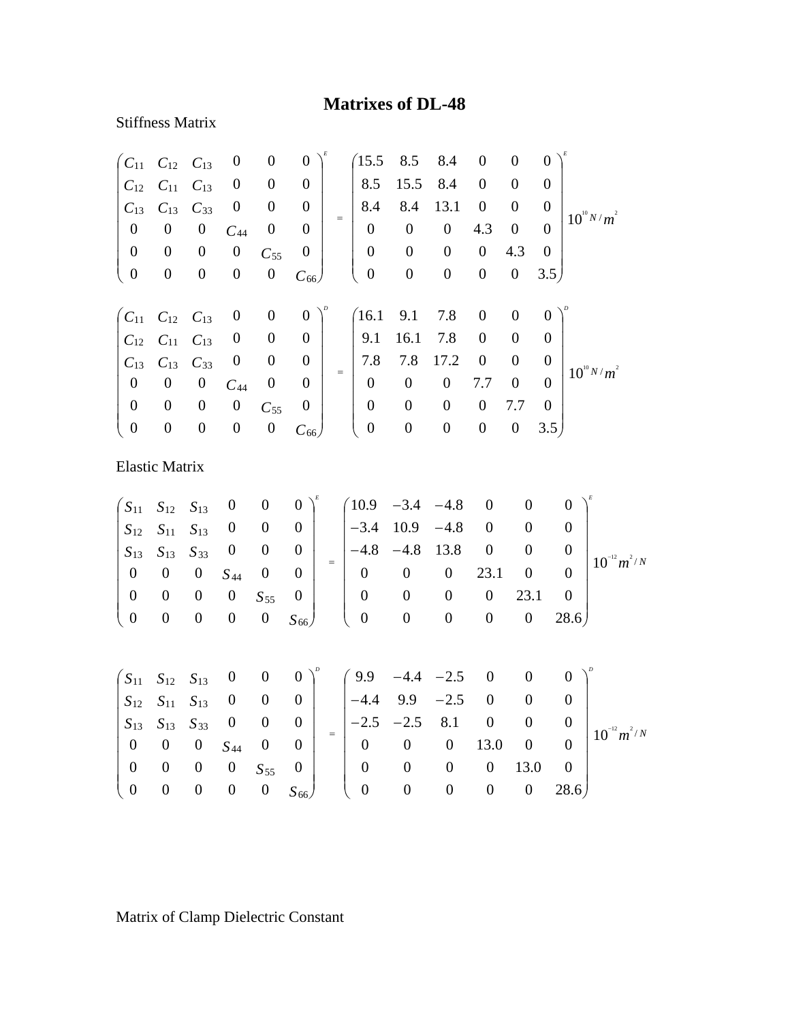**Matrixes of DL-48**

Stiffness Matrix

| $C_{11}$              | $C_{12}$            | $C_{13}$         | $\boldsymbol{0}$ | $\boldsymbol{0}$ | $\boldsymbol{0}$ | 15.5             | 8.5              | 8.4              | $\overline{0}$   | $\boldsymbol{0}$ | $\boldsymbol{0}$ |                  |  |
|-----------------------|---------------------|------------------|------------------|------------------|------------------|------------------|------------------|------------------|------------------|------------------|------------------|------------------|--|
| $C_{12}$              | $C_{11}$            | $C_{13}$         | $\boldsymbol{0}$ | $\boldsymbol{0}$ | $\boldsymbol{0}$ | 8.5              | 15.5             | 8.4              | $\boldsymbol{0}$ | $\boldsymbol{0}$ | $\boldsymbol{0}$ | $10^{10} N/m^2$  |  |
| $C_{13}$              | $C_{13}$            | $C_{33}$         | $\boldsymbol{0}$ | $\boldsymbol{0}$ | $\boldsymbol{0}$ | 8.4<br>$\equiv$  | 8.4              | 13.1             | $\boldsymbol{0}$ | $\boldsymbol{0}$ | $\boldsymbol{0}$ |                  |  |
| $\boldsymbol{0}$      | $\boldsymbol{0}$    | $\boldsymbol{0}$ | $C_{44}$         | $\boldsymbol{0}$ | $\boldsymbol{0}$ | $\boldsymbol{0}$ | $\boldsymbol{0}$ | $\boldsymbol{0}$ | 4.3              | $\boldsymbol{0}$ | $\boldsymbol{0}$ |                  |  |
| $\boldsymbol{0}$      | $\boldsymbol{0}$    | $\boldsymbol{0}$ | $\boldsymbol{0}$ | $C_{55}$         | $\boldsymbol{0}$ | $\boldsymbol{0}$ | $\boldsymbol{0}$ | $\boldsymbol{0}$ | $\boldsymbol{0}$ | 4.3              | $\boldsymbol{0}$ |                  |  |
| $\boldsymbol{0}$      | $\boldsymbol{0}$    | $\boldsymbol{0}$ | $\boldsymbol{0}$ | $\boldsymbol{0}$ | $C_{66}$         | $\boldsymbol{0}$ | $\boldsymbol{0}$ | $\boldsymbol{0}$ | $\mathbf{0}$     | $\boldsymbol{0}$ | 3.5 <sub>1</sub> |                  |  |
|                       |                     |                  |                  |                  |                  |                  |                  |                  |                  |                  |                  |                  |  |
| $\overline{C_{11}}$   | $C_{12}$            | $C_{13}$         | $\boldsymbol{0}$ | $\boldsymbol{0}$ | $\boldsymbol{0}$ | 16.1             | 9.1              | 7.8              | $\boldsymbol{0}$ | $\boldsymbol{0}$ | $\boldsymbol{0}$ |                  |  |
| $C_{12}$              | $C_{11}$            | $C_{13}$         | $\boldsymbol{0}$ | $\boldsymbol{0}$ | $\boldsymbol{0}$ | 9.1              | 16.1             | 7.8              | $\boldsymbol{0}$ | $\boldsymbol{0}$ | $\boldsymbol{0}$ |                  |  |
| $C_{13}$              | $C_{13}$            | $C_{33}$         | $\boldsymbol{0}$ | $\boldsymbol{0}$ | $\boldsymbol{0}$ | 7.8<br>$=$       | 7.8              | 17.2             | $\boldsymbol{0}$ | $\boldsymbol{0}$ | $\boldsymbol{0}$ | $10^{10} N/m^2$  |  |
| $\boldsymbol{0}$      | $\boldsymbol{0}$    | $\boldsymbol{0}$ | $C_{44}$         | $\boldsymbol{0}$ | $\boldsymbol{0}$ | $\boldsymbol{0}$ | $\boldsymbol{0}$ | $\boldsymbol{0}$ | 7.7              | $\boldsymbol{0}$ | $\boldsymbol{0}$ |                  |  |
| $\boldsymbol{0}$      | $\boldsymbol{0}$    | $\boldsymbol{0}$ | $\boldsymbol{0}$ | $C_{55}$         | $\boldsymbol{0}$ | $\boldsymbol{0}$ | $\boldsymbol{0}$ | $\boldsymbol{0}$ | $\boldsymbol{0}$ | $7.7\,$          | $\boldsymbol{0}$ |                  |  |
| $\boldsymbol{0}$      | $\boldsymbol{0}$    | $\boldsymbol{0}$ | $\boldsymbol{0}$ | $\boldsymbol{0}$ | $C_{66}$         | $\boldsymbol{0}$ | $\boldsymbol{0}$ | $\boldsymbol{0}$ | $\boldsymbol{0}$ | $\boldsymbol{0}$ | 3.5 <sub>l</sub> |                  |  |
| <b>Elastic Matrix</b> |                     |                  |                  |                  |                  |                  |                  |                  |                  |                  |                  |                  |  |
| $S_{11}$              | $\mathfrak{S}_{12}$ | $S_{13}$         | $\boldsymbol{0}$ | $\boldsymbol{0}$ | $\boldsymbol{0}$ | 10.9             | $-3.4$           | $-4.8$           | $\boldsymbol{0}$ | $\boldsymbol{0}$ | $\boldsymbol{0}$ |                  |  |
| $\mathcal{S}_{12}$    | $S_{11}$            | $S_{13}$         | $\boldsymbol{0}$ | $\boldsymbol{0}$ | $\boldsymbol{0}$ | $-3.4$           | 10.9             | $-4.8$           | $\boldsymbol{0}$ | $\boldsymbol{0}$ | $\boldsymbol{0}$ |                  |  |
| $S_{13}$              | $S_{13}$            | $S_{33}$         | $\boldsymbol{0}$ | $\boldsymbol{0}$ | $\boldsymbol{0}$ | $-4.8$           | $-4.8$           | 13.8             | $\boldsymbol{0}$ | $\boldsymbol{0}$ | $\boldsymbol{0}$ |                  |  |
| $\boldsymbol{0}$      | $\boldsymbol{0}$    | $\boldsymbol{0}$ | $S_{44}$         | $\boldsymbol{0}$ | $\boldsymbol{0}$ | $\boldsymbol{0}$ | $\boldsymbol{0}$ | $\boldsymbol{0}$ | 23.1             | $\boldsymbol{0}$ | $\overline{0}$   | $10^{-12} m^2/N$ |  |
| $\boldsymbol{0}$      | $\boldsymbol{0}$    | $\boldsymbol{0}$ | $\boldsymbol{0}$ | $S_{55}$         | $\boldsymbol{0}$ | $\boldsymbol{0}$ | $\boldsymbol{0}$ | $\boldsymbol{0}$ | $\boldsymbol{0}$ | 23.1             | $\boldsymbol{0}$ |                  |  |
| $\boldsymbol{0}$      | $\boldsymbol{0}$    | $\boldsymbol{0}$ | $\boldsymbol{0}$ | $\boldsymbol{0}$ | $S_{66}$         | $\boldsymbol{0}$ | $\boldsymbol{0}$ | $\boldsymbol{0}$ | $\boldsymbol{0}$ | $\boldsymbol{0}$ | 28.6             |                  |  |
|                       |                     |                  |                  |                  |                  |                  |                  |                  |                  |                  |                  |                  |  |
| $S_{11}$              | $S_{12}$            | $S_{13}$         | $\boldsymbol{0}$ | $\boldsymbol{0}$ | $\boldsymbol{0}$ | 9.9              | $-4.4$           | $-2.5$           | $\boldsymbol{0}$ | $\boldsymbol{0}$ | $\boldsymbol{0}$ |                  |  |
| $S_{12}$              | $S_{11}$            | $S_{13}$         | $\boldsymbol{0}$ | $\boldsymbol{0}$ | $\boldsymbol{0}$ | $-4.4$           | 9.9              | $-2.5$           | $\boldsymbol{0}$ | $\boldsymbol{0}$ | $\overline{0}$   |                  |  |
| $S_{13}$              | $S_{13}$            | $S_{33}$         | $\boldsymbol{0}$ | $\boldsymbol{0}$ | $\boldsymbol{0}$ | $-2.5$           | $-2.5$           | 8.1              | $\boldsymbol{0}$ | $\boldsymbol{0}$ | $\boldsymbol{0}$ |                  |  |
| $\boldsymbol{0}$      | $\boldsymbol{0}$    | $\boldsymbol{0}$ | $S_{44}$         | $\boldsymbol{0}$ | $\boldsymbol{0}$ | $\boldsymbol{0}$ | $\boldsymbol{0}$ | $\boldsymbol{0}$ | 13.0             | $\boldsymbol{0}$ | $\boldsymbol{0}$ | $10^{-12} m^2/N$ |  |
| $\boldsymbol{0}$      | $\boldsymbol{0}$    | $\boldsymbol{0}$ | $\boldsymbol{0}$ | $S_{55}$         | $\boldsymbol{0}$ | $\overline{0}$   | $\boldsymbol{0}$ | $\boldsymbol{0}$ | $\boldsymbol{0}$ | 13.0             | $\overline{0}$   |                  |  |
| $\boldsymbol{0}$      | $\boldsymbol{0}$    | $\boldsymbol{0}$ | $\boldsymbol{0}$ | $\boldsymbol{0}$ | $S_{66}$         | $\boldsymbol{0}$ | $\boldsymbol{0}$ | $\boldsymbol{0}$ | $\boldsymbol{0}$ | $\boldsymbol{0}$ | 28.6             |                  |  |

Matrix of Clamp Dielectric Constant